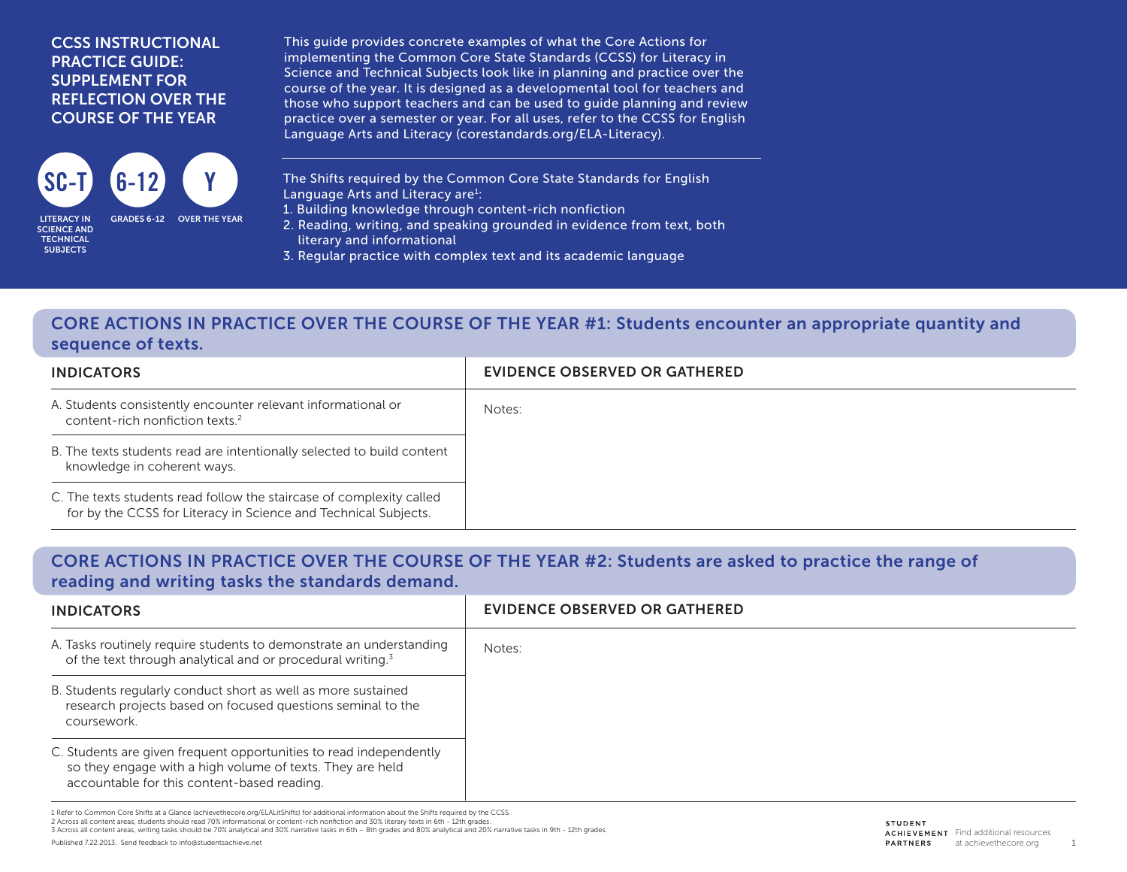#### CCSS INSTRUCTIONAL PRACTICE GUIDE: SUPPLEMENT FOR REFLECTION OVER THE COURSE OF THE YEAR



SCIENCE AND **TECHNICAL SUBJECTS** 

This guide provides concrete examples of what the Core Actions for implementing the Common Core State Standards (CCSS) for Literacy in Science and Technical Subjects look like in planning and practice over the course of the year. It is designed as a developmental tool for teachers and those who support teachers and can be used to guide planning and review practice over a semester or year. For all uses, refer to the CCSS for English Language Arts and Literacy (corestandards.org/ELA-Literacy).

The Shifts required by the Common Core State Standards for English Language Arts and Literacy are<sup>1</sup>:

- 1. Building knowledge through content-rich nonfiction
- 2. Reading, writing, and speaking grounded in evidence from text, both literary and informational
- 3. Regular practice with complex text and its academic language

### CORE ACTIONS IN PRACTICE OVER THE COURSE OF THE YEAR #1: Students encounter an appropriate quantity and sequence of texts.

| <b>INDICATORS</b>                                                                                                                       | EVIDENCE OBSERVED OR GATHERED |
|-----------------------------------------------------------------------------------------------------------------------------------------|-------------------------------|
| A. Students consistently encounter relevant informational or<br>content-rich nonfiction texts. <sup>2</sup>                             | Notes:                        |
| B. The texts students read are intentionally selected to build content<br>knowledge in coherent ways.                                   |                               |
| C. The texts students read follow the staircase of complexity called<br>for by the CCSS for Literacy in Science and Technical Subjects. |                               |

#### CORE ACTIONS IN PRACTICE OVER THE COURSE OF THE YEAR #2: Students are asked to practice the range of reading and writing tasks the standards demand.

| <b>INDICATORS</b>                                                                                                                                                              | EVIDENCE OBSERVED OR GATHERED |
|--------------------------------------------------------------------------------------------------------------------------------------------------------------------------------|-------------------------------|
| A. Tasks routinely require students to demonstrate an understanding<br>of the text through analytical and or procedural writing. <sup>3</sup>                                  | Notes:                        |
| B. Students regularly conduct short as well as more sustained<br>research projects based on focused questions seminal to the<br>coursework.                                    |                               |
| C. Students are given frequent opportunities to read independently<br>so they engage with a high volume of texts. They are held<br>accountable for this content-based reading. |                               |

1 Refer to Common Core Shifts at a Glance (achievethecore.org/ELALitShifts) for additional information about the Shifts required by the CCSS. 2 Across all content areas, students should read 70% informational or content-rich nonfiction and 30% literary texts in 6th - 12th grades.

3 Across all content areas, writing tasks should be 70% analytical and 30% narrative tasks in 6th – 8th grades and 80% analytical and 20% narrative tasks in 9th - 12th grades.